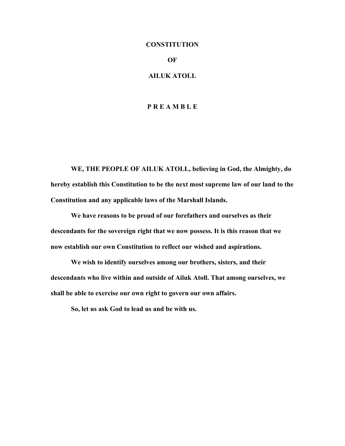# **CONSTITUTION OF AILUK ATOLL**

## **P R E A M B L E**

**WE, THE PEOPLE OF AILUK ATOLL, believing in God, the Almighty, do hereby establish this Constitution to be the next most supreme law of our land to the Constitution and any applicable laws of the Marshall Islands.**

**We have reasons to be proud of our forefathers and ourselves as their descendants for the sovereign right that we now possess. It is this reason that we now establish our own Constitution to reflect our wished and aspirations.**

**We wish to identify ourselves among our brothers, sisters, and their descendants who live within and outside of Ailuk Atoll. That among ourselves, we shall be able to exercise our own right to govern our own affairs.**

**So, let us ask God to lead us and be with us.**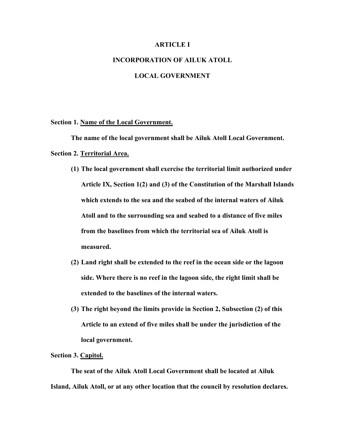## **ARTICLE I**

## **INCORPORATION OF AILUK ATOLL**

## **LOCAL GOVERNMENT**

## **Section 1. Name of the Local Government.**

**The name of the local government shall be Ailuk Atoll Local Government. Section 2. Territorial Area.**

- **(1) The local government shall exercise the territorial limit authorized under Article IX, Section 1(2) and (3) of the Constitution of the Marshall Islands which extends to the sea and the seabed of the internal waters of Ailuk Atoll and to the surrounding sea and seabed to a distance of five miles from the baselines from which the territorial sea of Ailuk Atoll is measured.**
- **(2) Land right shall be extended to the reef in the ocean side or the lagoon side. Where there is no reef in the lagoon side, the right limit shall be extended to the baselines of the internal waters.**
- **(3) The right beyond the limits provide in Section 2, Subsection (2) of this Article to an extend of five miles shall be under the jurisdiction of the local government.**

### **Section 3. Capitol.**

**The seat of the Ailuk Atoll Local Government shall be located at Ailuk Island, Ailuk Atoll, or at any other location that the council by resolution declares.**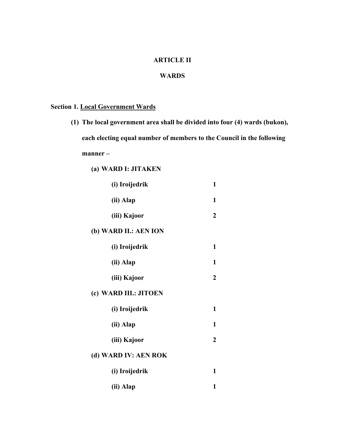## **ARTICLE II**

## **WARDS**

## **Section 1. Local Government Wards**

- **(1) The local government area shall be divided into four (4) wards (bukon), each electing equal number of members to the Council in the following manner –**
	- **(a) WARD I: JITAKEN**

| (i) Iroijedrik        | $\mathbf{1}$     |
|-----------------------|------------------|
| (ii) Alap             | 1                |
| (iii) Kajoor          | 2                |
| (b) WARD II.: AEN ION |                  |
| (i) Iroijedrik        | 1                |
| (ii) Alap             | 1                |
| (iii) Kajoor          | 2                |
| (c) WARD III.: JITOEN |                  |
| (i) Iroijedrik        | $\mathbf{1}$     |
| (ii) Alap             | 1                |
| (iii) Kajoor          | $\boldsymbol{2}$ |
| (d) WARD IV: AEN ROK  |                  |
| (i) Iroijedrik        | 1                |
| (ii) Alap             | 1                |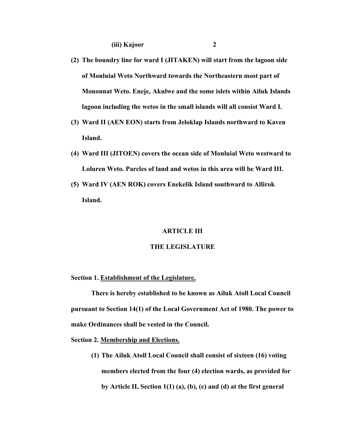- 
- **(2) The boundry line for ward I (JITAKEN) will start from the lagoon side of Monluial Weto Northward towards the Northeastern most part of Mononnat Weto. Eneje, Akulwe and the some islets within Ailuk Islands lagoon including the wetos in the small islands will all consist Ward I.**
- **(3) Ward II (AEN EON) starts from Jeloklap Islands northward to Kaven Island.**
- **(4) Ward III (JITOEN) covers the ocean side of Monluial Weto westward to Loluren Weto. Parcles of land and wetos in this area will be Ward III.**
- **(5) Ward IV (AEN ROK) covers Enekelik Island southward to Allirok Island.**

#### **ARTICLE III**

#### **THE LEGISLATURE**

### **Section 1. Establishment of the Legislature.**

**There is hereby established to be known as Ailuk Atoll Local Council pursuant to Section 14(1) of the Local Government Act of 1980. The power to make Ordinances shall be vested in the Council.**

#### **Section 2. Membership and Elections.**

**(1) The Ailuk Atoll Local Council shall consist of sixteen (16) voting members elected from the four (4) election wards, as provided for by Article II, Section 1(1) (a), (b), (c) and (d) at the first general**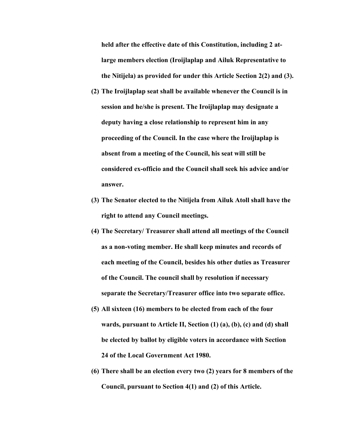**held after the effective date of this Constitution, including 2 atlarge members election (Iroijlaplap and Ailuk Representative to the Nitijela) as provided for under this Article Section 2(2) and (3).**

- **(2) The Iroijlaplap seat shall be available whenever the Council is in session and he/she is present. The Iroijlaplap may designate a deputy having a close relationship to represent him in any proceeding of the Council. In the case where the Iroijlaplap is absent from a meeting of the Council, his seat will still be considered ex-officio and the Council shall seek his advice and/or answer.**
- **(3) The Senator elected to the Nitijela from Ailuk Atoll shall have the right to attend any Council meetings.**
- **(4) The Secretary/ Treasurer shall attend all meetings of the Council as a non-voting member. He shall keep minutes and records of each meeting of the Council, besides his other duties as Treasurer of the Council. The council shall by resolution if necessary separate the Secretary/Treasurer office into two separate office.**
- **(5) All sixteen (16) members to be elected from each of the four wards, pursuant to Article II, Section (1) (a), (b), (c) and (d) shall be elected by ballot by eligible voters in accordance with Section 24 of the Local Government Act 1980.**
- **(6) There shall be an election every two (2) years for 8 members of the Council, pursuant to Section 4(1) and (2) of this Article.**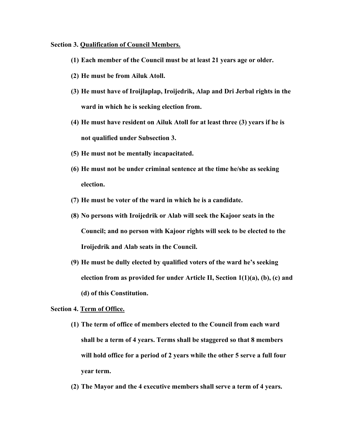## **Section 3. Qualification of Council Members.**

- **(1) Each member of the Council must be at least 21 years age or older.**
- **(2) He must be from Ailuk Atoll.**
- **(3) He must have of Iroijlaplap, Iroijedrik, Alap and Dri Jerbal rights in the ward in which he is seeking election from.**
- **(4) He must have resident on Ailuk Atoll for at least three (3) years if he is not qualified under Subsection 3.**
- **(5) He must not be mentally incapacitated.**
- **(6) He must not be under criminal sentence at the time he/she as seeking election.**
- **(7) He must be voter of the ward in which he is a candidate.**
- **(8) No persons with Iroijedrik or Alab will seek the Kajoor seats in the Council; and no person with Kajoor rights will seek to be elected to the Iroijedrik and Alab seats in the Council.**
- **(9) He must be dully elected by qualified voters of the ward he's seeking election from as provided for under Article II, Section 1(1)(a), (b), (c) and (d) of this Constitution.**

## **Section 4. Term of Office.**

- **(1) The term of office of members elected to the Council from each ward shall be a term of 4 years. Terms shall be staggered so that 8 members will hold office for a period of 2 years while the other 5 serve a full four year term.**
- **(2) The Mayor and the 4 executive members shall serve a term of 4 years.**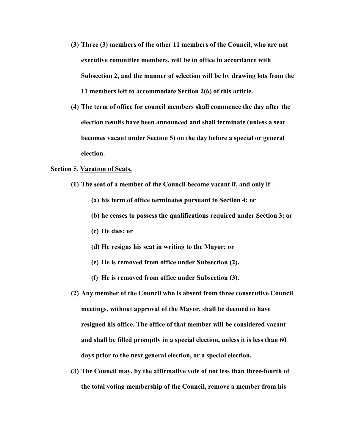- **(3) Three (3) members of the other 11 members of the Council, who are not executive committee members, will be in office in accordance with Subsection 2, and the manner of selection will be by drawing lots from the 11 members left to accommodate Section 2(6) of this article.**
- **(4) The term of office for council members shall commence the day after the election results have been announced and shall terminate (unless a seat becomes vacant under Section 5) on the day before a special or general election.**

## **Section 5. Vacation of Seats.**

- **(1) The seat of a member of the Council become vacant if, and only if –**
	- **(a) his term of office terminates pursuant to Section 4; or**
	- **(b) he ceases to possess the qualifications required under Section 3; or**
	- **(c) He dies; or**
	- **(d) He resigns his seat in writing to the Mayor; or**
	- **(e) He is removed from office under Subsection (2).**
	- **(f) He is removed from office under Subsection (3).**
- **(2) Any member of the Council who is absent from three consecutive Council meetings, without approval of the Mayor, shall be deemed to have resigned his office. The office of that member will be considered vacant and shall be filled promptly in a special election, unless it is less than 60 days prior to the next general election, or a special election.**
- **(3) The Council may, by the affirmative vote of not less than three-fourth of the total voting membership of the Council, remove a member from his**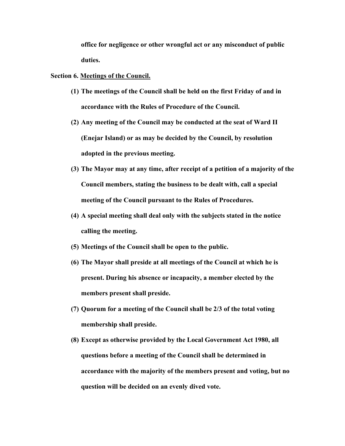**office for negligence or other wrongful act or any misconduct of public duties.**

## **Section 6. Meetings of the Council.**

- **(1) The meetings of the Council shall be held on the first Friday of and in accordance with the Rules of Procedure of the Council.**
- **(2) Any meeting of the Council may be conducted at the seat of Ward II (Enejar Island) or as may be decided by the Council, by resolution adopted in the previous meeting.**
- **(3) The Mayor may at any time, after receipt of a petition of a majority of the Council members, stating the business to be dealt with, call a special meeting of the Council pursuant to the Rules of Procedures.**
- **(4) A special meeting shall deal only with the subjects stated in the notice calling the meeting.**
- **(5) Meetings of the Council shall be open to the public.**
- **(6) The Mayor shall preside at all meetings of the Council at which he is present. During his absence or incapacity, a member elected by the members present shall preside.**
- **(7) Quorum for a meeting of the Council shall be 2/3 of the total voting membership shall preside.**
- **(8) Except as otherwise provided by the Local Government Act 1980, all questions before a meeting of the Council shall be determined in accordance with the majority of the members present and voting, but no question will be decided on an evenly dived vote.**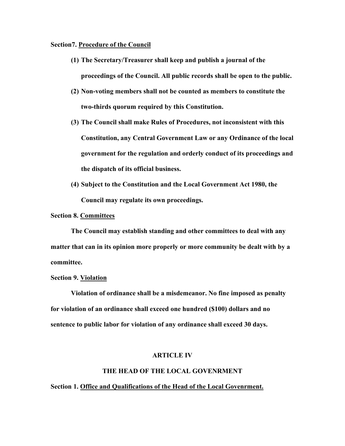## **Section7. Procedure of the Council**

- **(1) The Secretary/Treasurer shall keep and publish a journal of the proceedings of the Council. All public records shall be open to the public.**
- **(2) Non-voting members shall not be counted as members to constitute the two-thirds quorum required by this Constitution.**
- **(3) The Council shall make Rules of Procedures, not inconsistent with this Constitution, any Central Government Law or any Ordinance of the local government for the regulation and orderly conduct of its proceedings and the dispatch of its official business.**
- **(4) Subject to the Constitution and the Local Government Act 1980, the Council may regulate its own proceedings.**

## **Section 8. Committees**

**The Council may establish standing and other committees to deal with any matter that can in its opinion more properly or more community be dealt with by a committee.**

## **Section 9. Violation**

**Violation of ordinance shall be a misdemeanor. No fine imposed as penalty for violation of an ordinance shall exceed one hundred (\$100) dollars and no sentence to public labor for violation of any ordinance shall exceed 30 days.**

#### **ARTICLE IV**

## **THE HEAD OF THE LOCAL GOVENRMENT**

## **Section 1. Office and Qualifications of the Head of the Local Govenrment.**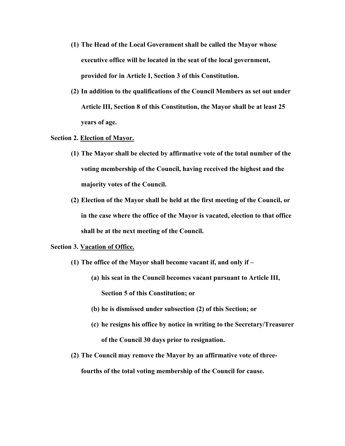- **(1) The Head of the Local Government shall be called the Mayor whose executive office will be located in the seat of the local government, provided for in Article I, Section 3 of this Constitution.**
- **(2) In addition to the qualifications of the Council Members as set out under Article III, Section 8 of this Constitution, the Mayor shall be at least 25 years of age.**

## **Section 2. Election of Mayor.**

- **(1) The Mayor shall be elected by affirmative vote of the total number of the voting membership of the Council, having received the highest and the majority votes of the Council.**
- **(2) Election of the Mayor shall be held at the first meeting of the Council, or in the case where the office of the Mayor is vacated, election to that office shall be at the next meeting of the Council.**

## **Section 3. Vacation of Office.**

- **(1) The office of the Mayor shall become vacant if, and only if –**
	- **(a) his seat in the Council becomes vacant pursuant to Article III, Section 5 of this Constitution; or**
	- **(b) he is dismissed under subsection (2) of this Section; or**
	- **(c) he resigns his office by notice in writing to the Secretary/Treasurer of the Council 30 days prior to resignation.**
- **(2) The Council may remove the Mayor by an affirmative vote of threefourths of the total voting membership of the Council for cause.**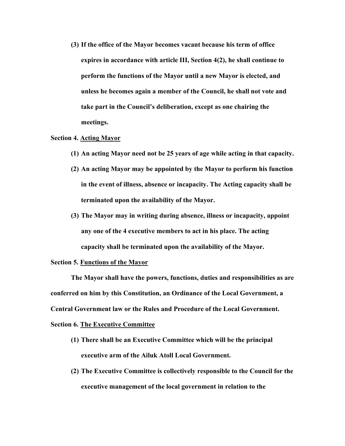**(3) If the office of the Mayor becomes vacant because his term of office expires in accordance with article III, Section 4(2), he shall continue to perform the functions of the Mayor until a new Mayor is elected, and unless he becomes again a member of the Council, he shall not vote and take part in the Council's deliberation, except as one chairing the meetings.**

## **Section 4. Acting Mayor**

- **(1) An acting Mayor need not be 25 years of age while acting in that capacity.**
- **(2) An acting Mayor may be appointed by the Mayor to perform his function in the event of illness, absence or incapacity. The Acting capacity shall be terminated upon the availability of the Mayor.**
- **(3) The Mayor may in writing during absence, illness or incapacity, appoint any one of the 4 executive members to act in his place. The acting capacity shall be terminated upon the availability of the Mayor.**

## **Section 5. Functions of the Mayor**

**The Mayor shall have the powers, functions, duties and responsibilities as are conferred on him by this Constitution, an Ordinance of the Local Government, a Central Government law or the Rules and Procedure of the Local Government.**

## **Section 6. The Executive Committee**

- **(1) There shall be an Executive Committee which will be the principal executive arm of the Ailuk Atoll Local Government.**
- **(2) The Executive Committee is collectively responsible to the Council for the executive management of the local government in relation to the**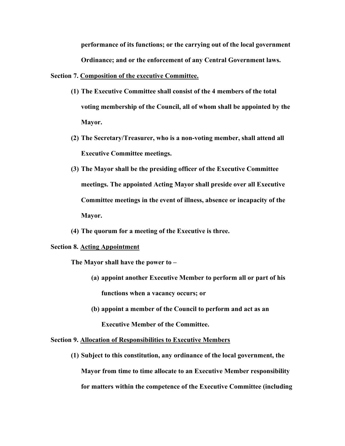**performance of its functions; or the carrying out of the local government Ordinance; and or the enforcement of any Central Government laws.**

## **Section 7. Composition of the executive Committee.**

- **(1) The Executive Committee shall consist of the 4 members of the total voting membership of the Council, all of whom shall be appointed by the Mayor.**
- **(2) The Secretary/Treasurer, who is a non-voting member, shall attend all Executive Committee meetings.**
- **(3) The Mayor shall be the presiding officer of the Executive Committee meetings. The appointed Acting Mayor shall preside over all Executive Committee meetings in the event of illness, absence or incapacity of the Mayor.**
- **(4) The quorum for a meeting of the Executive is three.**

#### **Section 8. Acting Appointment**

**The Mayor shall have the power to –**

- **(a) appoint another Executive Member to perform all or part of his functions when a vacancy occurs; or**
- **(b) appoint a member of the Council to perform and act as an Executive Member of the Committee.**

#### **Section 9. Allocation of Responsibilities to Executive Members**

**(1) Subject to this constitution, any ordinance of the local government, the Mayor from time to time allocate to an Executive Member responsibility for matters within the competence of the Executive Committee (including**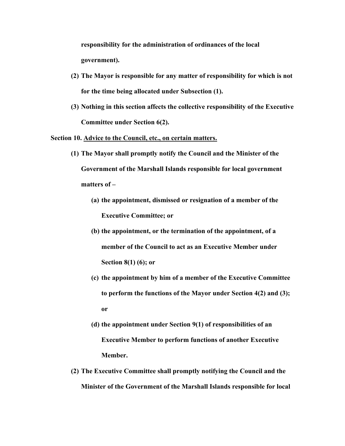**responsibility for the administration of ordinances of the local government).**

- **(2) The Mayor is responsible for any matter of responsibility for which is not for the time being allocated under Subsection (1).**
- **(3) Nothing in this section affects the collective responsibility of the Executive Committee under Section 6(2).**

**Section 10. Advice to the Council, etc., on certain matters.**

- **(1) The Mayor shall promptly notify the Council and the Minister of the Government of the Marshall Islands responsible for local government matters of –**
	- **(a) the appointment, dismissed or resignation of a member of the Executive Committee; or**
	- **(b) the appointment, or the termination of the appointment, of a member of the Council to act as an Executive Member under Section 8(1) (6); or**
	- **(c) the appointment by him of a member of the Executive Committee to perform the functions of the Mayor under Section 4(2) and (3); or**
	- **(d) the appointment under Section 9(1) of responsibilities of an Executive Member to perform functions of another Executive Member.**
- **(2) The Executive Committee shall promptly notifying the Council and the Minister of the Government of the Marshall Islands responsible for local**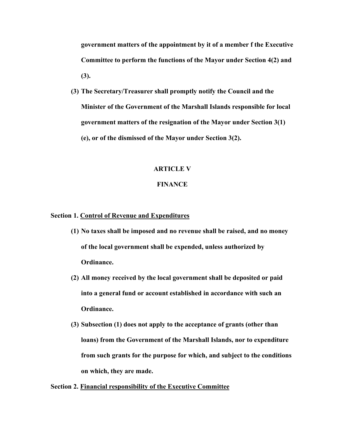**government matters of the appointment by it of a member f the Executive Committee to perform the functions of the Mayor under Section 4(2) and (3).**

**(3) The Secretary/Treasurer shall promptly notify the Council and the Minister of the Government of the Marshall Islands responsible for local government matters of the resignation of the Mayor under Section 3(1) (e), or of the dismissed of the Mayor under Section 3(2).**

## **ARTICLE V**

## **FINANCE**

## **Section 1. Control of Revenue and Expenditures**

- **(1) No taxes shall be imposed and no revenue shall be raised, and no money of the local government shall be expended, unless authorized by Ordinance.**
- **(2) All money received by the local government shall be deposited or paid into a general fund or account established in accordance with such an Ordinance.**
- **(3) Subsection (1) does not apply to the acceptance of grants (other than loans) from the Government of the Marshall Islands, nor to expenditure from such grants for the purpose for which, and subject to the conditions on which, they are made.**

**Section 2. Financial responsibility of the Executive Committee**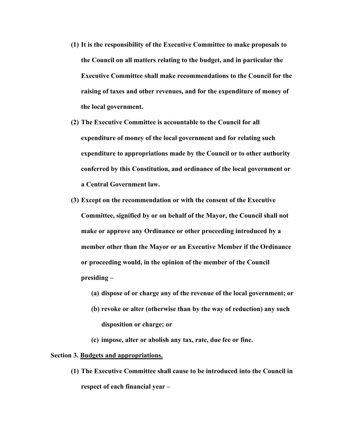- **(1) It is the responsibility of the Executive Committee to make proposals to the Council on all matters relating to the budget, and in particular the Executive Committee shall make recommendations to the Council for the raising of taxes and other revenues, and for the expenditure of money of the local government.**
- **(2) The Executive Committee is accountable to the Council for all expenditure of money of the local government and for relating such expenditure to appropriations made by the Council or to other authority conferred by this Constitution, and ordinance of the local government or a Central Government law.**
- **(3) Except on the recommendation or with the consent of the Executive Committee, signified by or on behalf of the Mayor, the Council shall not make or approve any Ordinance or other proceeding introduced by a member other than the Mayor or an Executive Member if the Ordinance or proceeding would, in the opinion of the member of the Council presiding –**
	- **(a) dispose of or charge any of the revenue of the local government; or**
	- **(b) revoke or alter (otherwise than by the way of reduction) any such disposition or charge; or**
	- **(c) impose, alter or abolish any tax, rate, due fee or fine.**

### **Section 3. Budgets and appropriations.**

**(1) The Executive Committee shall cause to be introduced into the Council in respect of each financial year –**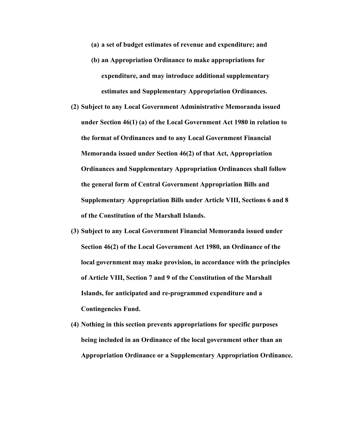**(a) a set of budget estimates of revenue and expenditure; and**

- **(b) an Appropriation Ordinance to make appropriations for expenditure, and may introduce additional supplementary estimates and Supplementary Appropriation Ordinances.**
- **(2) Subject to any Local Government Administrative Memoranda issued under Section 46(1) (a) of the Local Government Act 1980 in relation to the format of Ordinances and to any Local Government Financial Memoranda issued under Section 46(2) of that Act, Appropriation Ordinances and Supplementary Appropriation Ordinances shall follow the general form of Central Government Appropriation Bills and Supplementary Appropriation Bills under Article VIII, Sections 6 and 8 of the Constitution of the Marshall Islands.**
- **(3) Subject to any Local Government Financial Memoranda issued under Section 46(2) of the Local Government Act 1980, an Ordinance of the local government may make provision, in accordance with the principles of Article VIII, Section 7 and 9 of the Constitution of the Marshall Islands, for anticipated and re-programmed expenditure and a Contingencies Fund.**
- **(4) Nothing in this section prevents appropriations for specific purposes being included in an Ordinance of the local government other than an Appropriation Ordinance or a Supplementary Appropriation Ordinance.**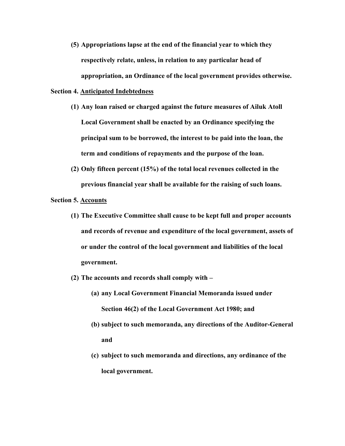**(5) Appropriations lapse at the end of the financial year to which they respectively relate, unless, in relation to any particular head of appropriation, an Ordinance of the local government provides otherwise.**

## **Section 4. Anticipated Indebtedness**

- **(1) Any loan raised or charged against the future measures of Ailuk Atoll Local Government shall be enacted by an Ordinance specifying the principal sum to be borrowed, the interest to be paid into the loan, the term and conditions of repayments and the purpose of the loan.**
- **(2) Only fifteen percent (15%) of the total local revenues collected in the previous financial year shall be available for the raising of such loans.**

## **Section 5. Accounts**

- **(1) The Executive Committee shall cause to be kept full and proper accounts and records of revenue and expenditure of the local government, assets of or under the control of the local government and liabilities of the local government.**
- **(2) The accounts and records shall comply with –**
	- **(a) any Local Government Financial Memoranda issued under Section 46(2) of the Local Government Act 1980; and**
	- **(b) subject to such memoranda, any directions of the Auditor-General and**
	- **(c) subject to such memoranda and directions, any ordinance of the local government.**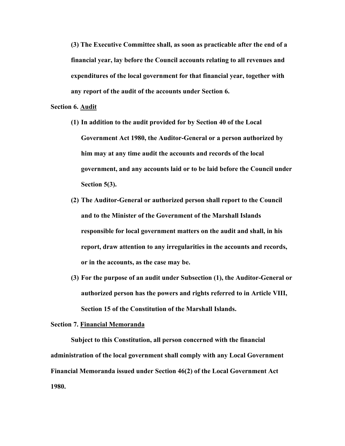**(3) The Executive Committee shall, as soon as practicable after the end of a financial year, lay before the Council accounts relating to all revenues and expenditures of the local government for that financial year, together with any report of the audit of the accounts under Section 6.**

## **Section 6. Audit**

- **(1) In addition to the audit provided for by Section 40 of the Local Government Act 1980, the Auditor-General or a person authorized by him may at any time audit the accounts and records of the local government, and any accounts laid or to be laid before the Council under Section 5(3).**
- **(2) The Auditor-General or authorized person shall report to the Council and to the Minister of the Government of the Marshall Islands responsible for local government matters on the audit and shall, in his report, draw attention to any irregularities in the accounts and records, or in the accounts, as the case may be.**
- **(3) For the purpose of an audit under Subsection (1), the Auditor-General or authorized person has the powers and rights referred to in Article VIII, Section 15 of the Constitution of the Marshall Islands.**

#### **Section 7. Financial Memoranda**

**Subject to this Constitution, all person concerned with the financial administration of the local government shall comply with any Local Government Financial Memoranda issued under Section 46(2) of the Local Government Act 1980.**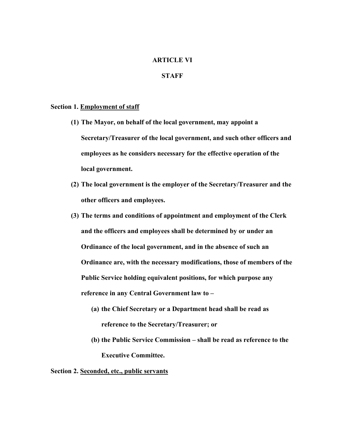## **ARTICLE VI**

## **STAFF**

### **Section 1. Employment of staff**

- **(1) The Mayor, on behalf of the local government, may appoint a Secretary/Treasurer of the local government, and such other officers and employees as he considers necessary for the effective operation of the local government.**
- **(2) The local government is the employer of the Secretary/Treasurer and the other officers and employees.**
- **(3) The terms and conditions of appointment and employment of the Clerk and the officers and employees shall be determined by or under an Ordinance of the local government, and in the absence of such an Ordinance are, with the necessary modifications, those of members of the Public Service holding equivalent positions, for which purpose any reference in any Central Government law to –**
	- **(a) the Chief Secretary or a Department head shall be read as reference to the Secretary/Treasurer; or**
	- **(b) the Public Service Commission – shall be read as reference to the Executive Committee.**

## **Section 2. Seconded, etc., public servants**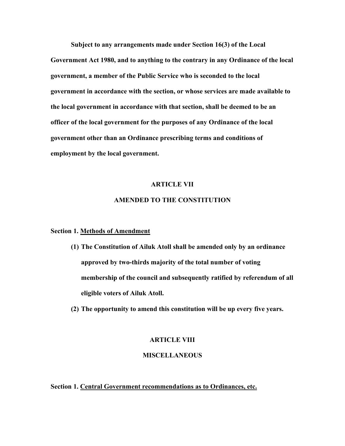**Subject to any arrangements made under Section 16(3) of the Local Government Act 1980, and to anything to the contrary in any Ordinance of the local government, a member of the Public Service who is seconded to the local government in accordance with the section, or whose services are made available to the local government in accordance with that section, shall be deemed to be an officer of the local government for the purposes of any Ordinance of the local government other than an Ordinance prescribing terms and conditions of employment by the local government.**

## **ARTICLE VII**

## **AMENDED TO THE CONSTITUTION**

## **Section 1. Methods of Amendment**

- **(1) The Constitution of Ailuk Atoll shall be amended only by an ordinance approved by two-thirds majority of the total number of voting membership of the council and subsequently ratified by referendum of all eligible voters of Ailuk Atoll.**
- **(2) The opportunity to amend this constitution will be up every five years.**

### **ARTICLE VIII**

#### **MISCELLANEOUS**

**Section 1. Central Government recommendations as to Ordinances, etc.**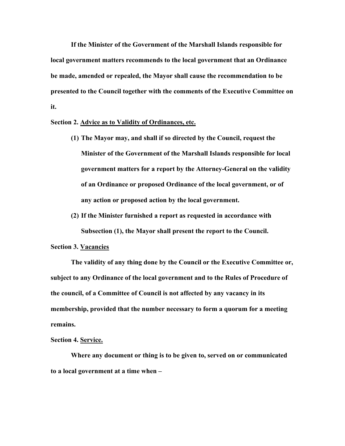**If the Minister of the Government of the Marshall Islands responsible for local government matters recommends to the local government that an Ordinance be made, amended or repealed, the Mayor shall cause the recommendation to be presented to the Council together with the comments of the Executive Committee on it.**

## **Section 2. Advice as to Validity of Ordinances, etc.**

- **(1) The Mayor may, and shall if so directed by the Council, request the Minister of the Government of the Marshall Islands responsible for local government matters for a report by the Attorney-General on the validity of an Ordinance or proposed Ordinance of the local government, or of any action or proposed action by the local government.**
- **(2) If the Minister furnished a report as requested in accordance with Subsection (1), the Mayor shall present the report to the Council.**

## **Section 3. Vacancies**

**The validity of any thing done by the Council or the Executive Committee or, subject to any Ordinance of the local government and to the Rules of Procedure of the council, of a Committee of Council is not affected by any vacancy in its membership, provided that the number necessary to form a quorum for a meeting remains.**

### **Section 4. Service.**

**Where any document or thing is to be given to, served on or communicated to a local government at a time when –**